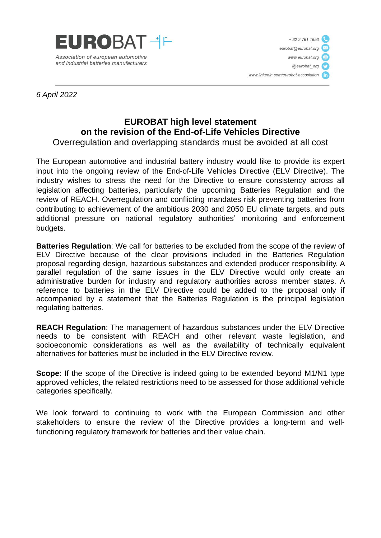

+ 32 2 761 1653 eurobat@eurobat.org www.eurobat.org @eurobat\_org www.linkedin.com/eurobat-association

*6 April 2022*

## **EUROBAT high level statement on the revision of the End-of-Life Vehicles Directive**

## Overregulation and overlapping standards must be avoided at all cost

The European automotive and industrial battery industry would like to provide its expert input into the ongoing review of the End-of-Life Vehicles Directive (ELV Directive). The industry wishes to stress the need for the Directive to ensure consistency across all legislation affecting batteries, particularly the upcoming Batteries Regulation and the review of REACH. Overregulation and conflicting mandates risk preventing batteries from contributing to achievement of the ambitious 2030 and 2050 EU climate targets, and puts additional pressure on national regulatory authorities' monitoring and enforcement budgets.

**Batteries Regulation**: We call for batteries to be excluded from the scope of the review of ELV Directive because of the clear provisions included in the Batteries Regulation proposal regarding design, hazardous substances and extended producer responsibility. A parallel regulation of the same issues in the ELV Directive would only create an administrative burden for industry and regulatory authorities across member states. A reference to batteries in the ELV Directive could be added to the proposal only if accompanied by a statement that the Batteries Regulation is the principal legislation regulating batteries.

**REACH Regulation**: The management of hazardous substances under the ELV Directive needs to be consistent with REACH and other relevant waste legislation, and socioeconomic considerations as well as the availability of technically equivalent alternatives for batteries must be included in the ELV Directive review.

**Scope:** If the scope of the Directive is indeed going to be extended beyond M1/N1 type approved vehicles, the related restrictions need to be assessed for those additional vehicle categories specifically.

We look forward to continuing to work with the European Commission and other stakeholders to ensure the review of the Directive provides a long-term and wellfunctioning regulatory framework for batteries and their value chain.